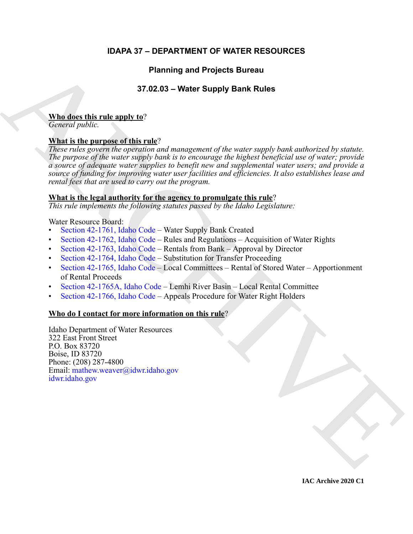# **IDAPA 37 – DEPARTMENT OF WATER RESOURCES**

# **Planning and Projects Bureau**

# **37.02.03 – Water Supply Bank Rules**

### **Who does this rule apply to**?

*General public.*

# **What is the purpose of this rule**?

Planning and Projects Bureau<br>
37.02.03 – Water Supply Bank [R](https://legislature.idaho.gov/statutesrules/idstat/Title42/T42CH17/SECT42-1761/)ules<br>
Ning described:<br> [C](https://legislature.idaho.gov/statutesrules/idstat/Title42/T42CH17/SECT42-1764/)onseil is the numeron of this rule?<br>
Ning is the numeron of this rule?<br>
Ning is the numeron of the numeron of the numeron of the numeron *These rules govern the operation and management of the water supply bank authorized by statute. The purpose of the water supply bank is to encourage the highest beneficial use of water; provide a source of adequate water supplies to benefit new and supplemental water users; and provide a source of funding for improving water user facilities and efficiencies. It also establishes lease and rental fees that are used to carry out the program.*

## **What is the legal authority for the agency to promulgate this rule**?

*This rule implements the following statutes passed by the Idaho Legislature:*

### Water Resource Board:

- Section 42-1761, Idaho Code Water Supply Bank Created
- Section 42-1762, Idaho Code Rules and Regulations Acquisition of Water Rights
- Section 42-1763, Idaho Code Rentals from Bank Approval by Director
- Section 42-1764, Idaho Code Substitution for Transfer Proceeding
- Section 42-1765, Idaho Code Local Committees Rental of Stored Water Apportionment of Rental Proceeds
- Section 42-1765A, Idaho Code Lemhi River Basin Local Rental Committee
- Section 42-1766, Idaho Code Appeals Procedure for Water Right Holders

# **Who do I contact for more information on this rule**?

Idaho Department of Water Resources 322 East Front Street P.O. Box 83720 Boise, ID 83720 Phone: (208) 287-4800 Email: mathew.weaver@idwr.idaho.gov idwr.idaho.gov

**IAC Archive 2020 C1**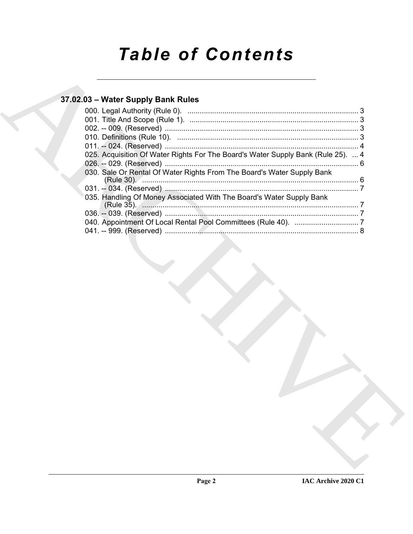# **Table of Contents**

# 37.02.03 - Water Supply Bank Rules

| 025. Acquisition Of Water Rights For The Board's Water Supply Bank (Rule 25).  4       |  |
|----------------------------------------------------------------------------------------|--|
|                                                                                        |  |
| 030. Sale Or Rental Of Water Rights From The Board's Water Supply Bank<br>(Rule 30). 6 |  |
|                                                                                        |  |
| 035. Handling Of Money Associated With The Board's Water Supply Bank                   |  |
|                                                                                        |  |
|                                                                                        |  |
|                                                                                        |  |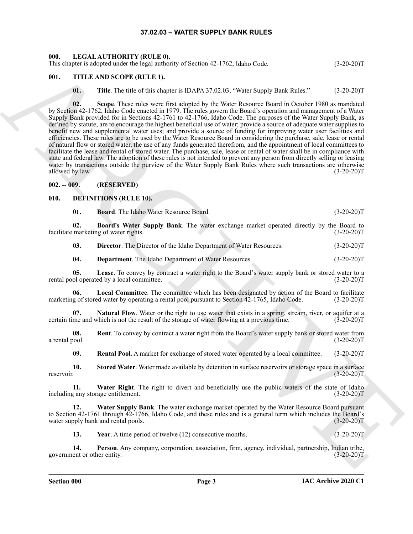#### **37.02.03 – WATER SUPPLY BANK RULES**

#### <span id="page-2-20"></span><span id="page-2-1"></span><span id="page-2-0"></span>**000. LEGAL AUTHORITY (RULE 0).**

This chapter is adopted under the legal authority of Section 42-1762, Idaho Code. (3-20-20)T

#### <span id="page-2-2"></span>**001. TITLE AND SCOPE (RULE 1).**

<span id="page-2-21"></span>**01.** Title. The title of this chapter is IDAPA 37.02.03, "Water Supply Bank Rules." (3-20-20)T

This deposite subset of the branchitectic states 42-1762, the forest order and the state of the state of the state of the state of the state of the state of the state of the state of the state of the state of the state of **02. Scope**. These rules were first adopted by the Water Resource Board in October 1980 as mandated by Section 42-1762, Idaho Code enacted in 1979. The rules govern the Board's operation and management of a Water Supply Bank provided for in Sections 42-1761 to 42-1766, Idaho Code. The purposes of the Water Supply Bank, as defined by statute, are to encourage the highest beneficial use of water; provide a source of adequate water supplies to benefit new and supplemental water uses; and provide a source of funding for improving water user facilities and efficiencies. These rules are to be used by the Water Resource Board in considering the purchase, sale, lease or rental of natural flow or stored water, the use of any funds generated therefrom, and the appointment of local committees to facilitate the lease and rental of stored water. The purchase, sale, lease or rental of water shall be in compliance with state and federal law. The adoption of these rules is not intended to prevent any person from directly selling or leasing water by transactions outside the purview of the Water Supply Bank Rules where such transactions are otherwise allowed by law. (3-20-20)T

#### <span id="page-2-3"></span>**002. -- 009. (RESERVED)**

#### <span id="page-2-4"></span>**010. DEFINITIONS (RULE 10).**

<span id="page-2-7"></span><span id="page-2-6"></span><span id="page-2-5"></span>**01. Board**. The Idaho Water Resource Board. (3-20-20)T

**02. Board's Water Supply Bank**. The water exchange market operated directly by the Board to facilitate marketing of water rights. (3-20-20)T

<span id="page-2-9"></span>**03. Director**. The Director of the Idaho Department of Water Resources. (3-20-20)T

<span id="page-2-11"></span><span id="page-2-10"></span><span id="page-2-8"></span>**04. Department**. The Idaho Department of Water Resources. (3-20-20)T

**05.** Lease. To convey by contract a water right to the Board's water supply bank or stored water to a ol operated by a local committee. (3-20-20) rental pool operated by a local committee.

**06.** Local Committee. The committee which has been designated by action of the Board to facilitate g of stored water by operating a rental pool pursuant to Section 42-1765, Idaho Code. (3-20-20)T marketing of stored water by operating a rental pool pursuant to Section 42-1765, Idaho Code.

<span id="page-2-12"></span>**07.** Natural Flow. Water or the right to use water that exists in a spring, stream, river, or aquifer at a certain time and which is not the result of the storage of water flowing at a previous time. (3-20-20)T

**08.** Rent. To convey by contract a water right from the Board's water supply bank or stored water from a rental pool.  $(3-20-20)T$ a rental pool. (3-20-20)T

<span id="page-2-17"></span><span id="page-2-16"></span><span id="page-2-15"></span><span id="page-2-14"></span>**09. Rental Pool**. A market for exchange of stored water operated by a local committee. (3-20-20)T

**10.** Stored Water. Water made available by detention in surface reservoirs or storage space in a surface reservoir. (3-20-20)T

**11. Water Right**. The right to divert and beneficially use the public waters of the state of Idaho including any storage entitlement. (3-20-20)T

**12. Water Supply Bank**. The water exchange market operated by the Water Resource Board pursuant to Section 42-1761 through 42-1766, Idaho Code, and these rules and is a general term which includes the Board's water supply bank and rental pools. (3-20-20)T

<span id="page-2-19"></span><span id="page-2-18"></span><span id="page-2-13"></span>**13.** Year. A time period of twelve (12) consecutive months. (3-20-20)T

**14. Person**. Any company, corporation, association, firm, agency, individual, partnership, Indian tribe, government or other entity. (3-20-20)T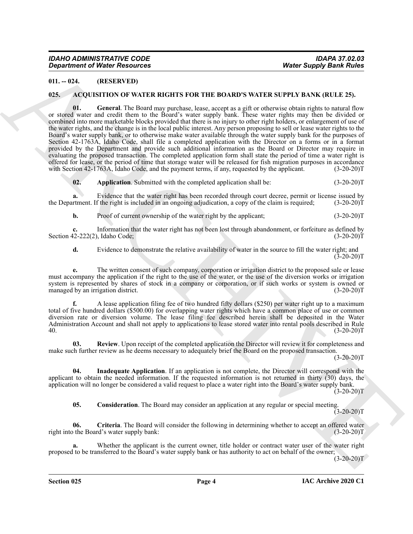#### <span id="page-3-0"></span>**011. -- 024. (RESERVED)**

#### <span id="page-3-6"></span><span id="page-3-2"></span><span id="page-3-1"></span>**025. ACQUISITION OF WATER RIGHTS FOR THE BOARD'S WATER SUPPLY BANK (RULE 25).**

**Equivalent of Nicke Resources** Works Supply Basin Nickel<br>
ULL-82.<br>
ULL-82. (01.83 TEAM ORDER INTERS FOR THE ROARDYS WAT FAIS (RTIP X BANK (RTIP X 25).<br>
1931 - ACCOUNTING OF WATER RIGHTS FOR THE ROARDYS WAT FAIS (RTIP X B **01. General**. The Board may purchase, lease, accept as a gift or otherwise obtain rights to natural flow or stored water and credit them to the Board's water supply bank. These water rights may then be divided or combined into more marketable blocks provided that there is no injury to other right holders, or enlargement of use of the water rights, and the change is in the local public interest. Any person proposing to sell or lease water rights to the Board's water supply bank, or to otherwise make water available through the water supply bank for the purposes of Section 42-1763A, Idaho Code, shall file a completed application with the Director on a forms or in a format provided by the Department and provide such additional information as the Board or Director may require in evaluating the proposed transaction. The completed application form shall state the period of time a water right is offered for lease, or the period of time that storage water will be released for fish migration purposes in accordance with Section 42-1763A, Idaho Code, and the payment terms, if any, requested by the applicant. (3-20-20)T

<span id="page-3-3"></span>**02.** Application. Submitted with the completed application shall be: (3-20-20)T

**a.** Evidence that the water right has been recorded through court decree, permit or license issued by the Department. If the right is included in an ongoing adjudication, a copy of the claim is required; (3-20-20)

**b.** Proof of current ownership of the water right by the applicant; (3-20-20)T

**c.** Information that the water right has not been lost through abandonment, or forfeiture as defined by Section 42-222(2), Idaho Code; (3-20-20)T

**d.** Evidence to demonstrate the relative availability of water in the source to fill the water right; and  $(3-20-20)$ T

**e.** The written consent of such company, corporation or irrigation district to the proposed sale or lease must accompany the application if the right to the use of the water, or the use of the diversion works or irrigation system is represented by shares of stock in a company or corporation, or if such works or system is owned or managed by an irrigation district. (3-20-20) managed by an irrigation district.

**f.** A lease application filing fee of two hundred fifty dollars (\$250) per water right up to a maximum total of five hundred dollars (\$500.00) for overlapping water rights which have a common place of use or common diversion rate or diversion volume. The lease filing fee described herein shall be deposited in the Water Administration Account and shall not apply to applications to lease stored water into rental pools described in Rule 40. (3-20-20)T

<span id="page-3-8"></span>**03. Review**. Upon receipt of the completed application the Director will review it for completeness and make such further review as he deems necessary to adequately brief the Board on the proposed transaction.

 $(3-20-20)T$ 

**04. Inadequate Application**. If an application is not complete, the Director will correspond with the applicant to obtain the needed information. If the requested information is not returned in thirty (30) days, the application will no longer be considered a valid request to place a water right into the Board's water supply bank.  $(3-20-20)$ T

<span id="page-3-7"></span><span id="page-3-5"></span><span id="page-3-4"></span>**05. Consideration**. The Board may consider an application at any regular or special meeting.  $(3-20-20)T$ 

**06. Criteria**. The Board will consider the following in determining whether to accept an offered water right into the Board's water supply bank: (3-20-20)T

**a.** Whether the applicant is the current owner, title holder or contract water user of the water right proposed to be transferred to the Board's water supply bank or has authority to act on behalf of the owner;

 $(3-20-20)T$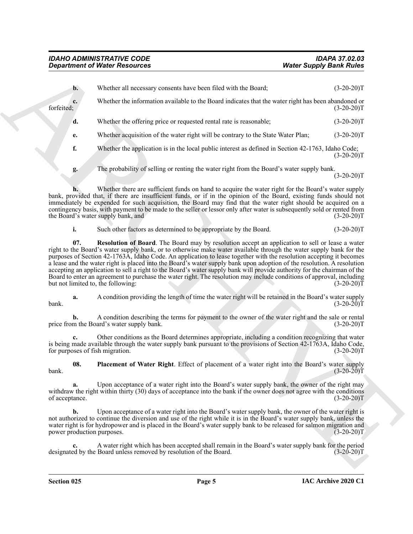<span id="page-4-1"></span><span id="page-4-0"></span>

| <b>Department of Water Resources</b>                                                                                                                                                                                                                                                                                                                                                                                                                                                                                                                                                                                                                                                                                                                                     | <b>Water Supply Bank Rules</b> |
|--------------------------------------------------------------------------------------------------------------------------------------------------------------------------------------------------------------------------------------------------------------------------------------------------------------------------------------------------------------------------------------------------------------------------------------------------------------------------------------------------------------------------------------------------------------------------------------------------------------------------------------------------------------------------------------------------------------------------------------------------------------------------|--------------------------------|
| Whether all necessary consents have been filed with the Board;<br>$\mathbf{b}$ .                                                                                                                                                                                                                                                                                                                                                                                                                                                                                                                                                                                                                                                                                         | $(3-20-20)T$                   |
| Whether the information available to the Board indicates that the water right has been abandoned or<br>c.<br>forfeited;                                                                                                                                                                                                                                                                                                                                                                                                                                                                                                                                                                                                                                                  | $(3-20-20)T$                   |
| Whether the offering price or requested rental rate is reasonable;<br>d.                                                                                                                                                                                                                                                                                                                                                                                                                                                                                                                                                                                                                                                                                                 | $(3-20-20)T$                   |
| Whether acquisition of the water right will be contrary to the State Water Plan;<br>e.                                                                                                                                                                                                                                                                                                                                                                                                                                                                                                                                                                                                                                                                                   | $(3-20-20)T$                   |
| f.<br>Whether the application is in the local public interest as defined in Section 42-1763, Idaho Code;                                                                                                                                                                                                                                                                                                                                                                                                                                                                                                                                                                                                                                                                 | $(3-20-20)T$                   |
| The probability of selling or renting the water right from the Board's water supply bank.<br>g.                                                                                                                                                                                                                                                                                                                                                                                                                                                                                                                                                                                                                                                                          | $(3-20-20)T$                   |
| Whether there are sufficient funds on hand to acquire the water right for the Board's water supply<br>bank, provided that, if there are insufficient funds, or if in the opinion of the Board, existing funds should not<br>immediately be expended for such acquisition, the Board may find that the water right should be acquired on a<br>contingency basis, with payment to be made to the seller or lessor only after water is subsequently sold or rented from<br>the Board's water supply bank, and                                                                                                                                                                                                                                                               | $(3-20-20)T$                   |
| i.<br>Such other factors as determined to be appropriate by the Board.                                                                                                                                                                                                                                                                                                                                                                                                                                                                                                                                                                                                                                                                                                   | $(3-20-20)T$                   |
| 07.<br>Resolution of Board. The Board may by resolution accept an application to sell or lease a water<br>right to the Board's water supply bank, or to otherwise make water available through the water supply bank for the<br>purposes of Section 42-1763A, Idaho Code. An application to lease together with the resolution accepting it becomes<br>a lease and the water right is placed into the Board's water supply bank upon adoption of the resolution. A resolution<br>accepting an application to sell a right to the Board's water supply bank will provide authority for the chairman of the<br>Board to enter an agreement to purchase the water right. The resolution may include conditions of approval, including<br>but not limited to, the following: | $(3-20-20)T$                   |
| A condition providing the length of time the water right will be retained in the Board's water supply<br>a.<br>bank.                                                                                                                                                                                                                                                                                                                                                                                                                                                                                                                                                                                                                                                     | $(3-20-20)T$                   |
| A condition describing the terms for payment to the owner of the water right and the sale or rental<br>price from the Board's water supply bank.                                                                                                                                                                                                                                                                                                                                                                                                                                                                                                                                                                                                                         | $(3-20-20)T$                   |
| Other conditions as the Board determines appropriate, including a condition recognizing that water<br>c.<br>is being made available through the water supply bank pursuant to the provisions of Section 42-1763A, Idaho Code,<br>for purposes of fish migration.                                                                                                                                                                                                                                                                                                                                                                                                                                                                                                         | $(3-20-20)T$                   |
| Placement of Water Right. Effect of placement of a water right into the Board's water supply<br>08.<br>bank.                                                                                                                                                                                                                                                                                                                                                                                                                                                                                                                                                                                                                                                             | $(3-20-20)T$                   |
| Upon acceptance of a water right into the Board's water supply bank, the owner of the right may<br>a.<br>withdraw the right within thirty (30) days of acceptance into the bank if the owner does not agree with the conditions<br>of acceptance.                                                                                                                                                                                                                                                                                                                                                                                                                                                                                                                        | $(3-20-20)T$                   |
| Upon acceptance of a water right into the Board's water supply bank, the owner of the water right is<br>b.<br>not authorized to continue the diversion and use of the right while it is in the Board's water supply bank, unless the<br>water right is for hydropower and is placed in the Board's water supply bank to be released for salmon migration and<br>power production purposes.                                                                                                                                                                                                                                                                                                                                                                               | $(3-20-20)T$                   |
|                                                                                                                                                                                                                                                                                                                                                                                                                                                                                                                                                                                                                                                                                                                                                                          |                                |
| A water right which has been accepted shall remain in the Board's water supply bank for the period<br>c.<br>designated by the Board unless removed by resolution of the Board.                                                                                                                                                                                                                                                                                                                                                                                                                                                                                                                                                                                           | $(3-20-20)T$                   |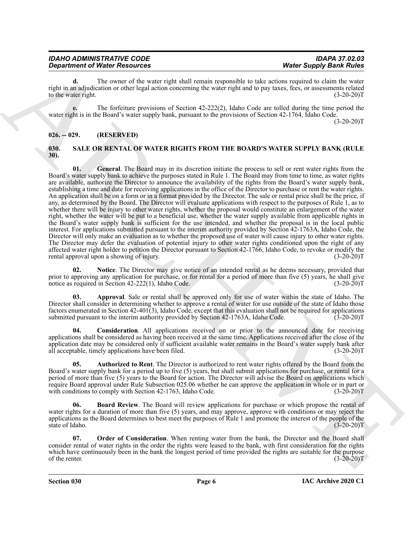| <b>IDAHO ADMINISTRATIVE CODE</b>     |  |
|--------------------------------------|--|
| <b>Department of Water Resources</b> |  |

**d.** The owner of the water right shall remain responsible to take actions required to claim the water right in an adjudication or other legal action concerning the water right and to pay taxes, fees, or assessments related to the water right.  $(3-20-20)$ T

**e.** The forfeiture provisions of Section 42-222(2), Idaho Code are tolled during the time period the water right is in the Board's water supply bank, pursuant to the provisions of Section 42-1764, Idaho Code.  $(3-20-20)T$ 

#### <span id="page-5-0"></span>**026. -- 029. (RESERVED)**

#### <span id="page-5-7"></span><span id="page-5-2"></span><span id="page-5-1"></span>**030. SALE OR RENTAL OF WATER RIGHTS FROM THE BOARD'S WATER SUPPLY BANK (RULE 30).**

**Department of Nincoln extends the set of the set of the set of the Supple of the Supple of the Supple Band River Constraints are not the set of the Supple Band River Constraints are not the set of the Supple of the Suppl 01. General**. The Board may in its discretion initiate the process to sell or rent water rights from the Board's water supply bank to achieve the purposes stated in Rule 1. The Board may from time to time, as water rights are available, authorize the Director to announce the availability of the rights from the Board's water supply bank, establishing a time and date for receiving applications in the office of the Director to purchase or rent the water rights. An application shall be on a form or in a format provided by the Director. The sale or rental price shall be the price, if any, as determined by the Board. The Director will evaluate applications with respect to the purposes of Rule 1, as to whether there will be injury to other water rights, whether the proposal would constitute an enlargement of the water right, whether the water will be put to a beneficial use, whether the water supply available from applicable rights in the Board's water supply bank is sufficient for the use intended, and whether the proposal is in the local public interest. For applications submitted pursuant to the interim authority provided by Section 42-1763A, Idaho Code, the Director will only make an evaluation as to whether the proposed use of water will cause injury to other water rights. The Director may defer the evaluation of potential injury to other water rights conditioned upon the right of any affected water right holder to petition the Director pursuant to Section 42-1766, Idaho Code, to revoke or modify the rental approval upon a showing of injury. (3-20-20)T

<span id="page-5-8"></span>**02. Notice**. The Director may give notice of an intended rental as he deems necessary, provided that prior to approving any application for purchase, or for rental for a period of more than five (5) years, he shall give notice as required in Section 42-222(1), Idaho Code. (3-20-20) notice as required in Section  $42-222(1)$ , Idaho Code.

<span id="page-5-3"></span>**03. Approval**. Sale or rental shall be approved only for use of water within the state of Idaho. The Director shall consider in determining whether to approve a rental of water for use outside of the state of Idaho those factors enumerated in Section 42-401(3), Idaho Code, except that this evaluation shall not be required for applications submitted pursuant to the interim authority provided by Section 42-1763A, Idaho Code. (3-20-20)T submitted pursuant to the interim authority provided by Section 42-1763A, Idaho Code.

<span id="page-5-6"></span>**04. Consideration**. All applications received on or prior to the announced date for receiving applications shall be considered as having been received at the same time. Applications received after the close of the application date may be considered only if sufficient available water remains in the Board's water supply bank after all acceptable, timely applications have been filed.  $(3-20-20)T$ 

<span id="page-5-4"></span>**05. Authorized to Rent**. The Director is authorized to rent water rights offered by the Board from the Board's water supply bank for a period up to five (5) years, but shall submit applications for purchase, or rental for a period of more than five (5) years to the Board for action. The Director will advise the Board on applications which require Board approval under Rule Subsection 025.06 whether he can approve the application in whole or in part or with conditions to comply with Section 42-1763, Idaho Code. (3-20-20)T

<span id="page-5-5"></span>**06. Board Review**. The Board will review applications for purchase or which propose the rental of water rights for a duration of more than five (5) years, and may approve, approve with conditions or may reject the applications as the Board determines to best meet the purposes of Rule 1 and promote the interest of the people of the state of Idaho. (3-20-20)T

<span id="page-5-9"></span>**07. Order of Consideration**. When renting water from the bank, the Director and the Board shall consider rental of water rights in the order the rights were leased to the bank, with first consideration for the rights which have continuously been in the bank the longest period of time provided the rights are suitable for the purpose of the renter.  $(3-20-20)T$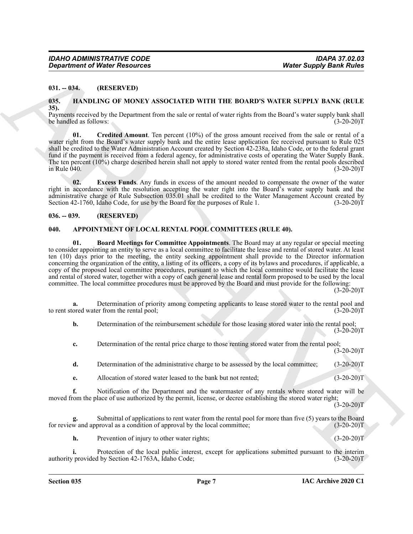#### <span id="page-6-0"></span>**031. -- 034. (RESERVED)**

#### <span id="page-6-6"></span><span id="page-6-1"></span>**035. HANDLING OF MONEY ASSOCIATED WITH THE BOARD'S WATER SUPPLY BANK (RULE 35).**

Payments received by the Department from the sale or rental of water rights from the Board's water supply bank shall<br>(3-20-20)T be handled as follows:

<span id="page-6-7"></span>**01. Credited Amount**. Ten percent (10%) of the gross amount received from the sale or rental of a water right from the Board's water supply bank and the entire lease application fee received pursuant to Rule 025 shall be credited to the Water Administration Account created by Section 42-238a, Idaho Code, or to the federal grant fund if the payment is received from a federal agency, for administrative costs of operating the Water Supply Bank. The ten percent (10%) charge described herein shall not apply to stored water rented from the rental pools described  $\frac{1}{2}$  in Rule 040. (3-20-20)T

<span id="page-6-8"></span>**02. Excess Funds**. Any funds in excess of the amount needed to compensate the owner of the water right in accordance with the resolution accepting the water right into the Board's water supply bank and the administrative charge of Rule Subsection 035.01 shall be credited to the Water Management Account created by Section 42-1760, Idaho Code, for use by the Board for the purposes of Rule 1. (3-20-20)T

#### <span id="page-6-2"></span>**036. -- 039. (RESERVED)**

#### <span id="page-6-5"></span><span id="page-6-4"></span><span id="page-6-3"></span>**040. APPOINTMENT OF LOCAL RENTAL POOL COMMITTEES (RULE 40).**

**Constrainer of Nicity Research 2011** Where Supply Barne Supply Barne Supply Barne Supply Barne Supply Barne Supply<br>
1931 BASSILING OF MOSCHATED WITH THE BOARDS WATER SUPPLY RASK (RULE<br>
1935)<br>
1935 BASSILING OF MOSCHATED **01. Board Meetings for Committee Appointments**. The Board may at any regular or special meeting to consider appointing an entity to serve as a local committee to facilitate the lease and rental of stored water. At least ten (10) days prior to the meeting, the entity seeking appointment shall provide to the Director information concerning the organization of the entity, a listing of its officers, a copy of its bylaws and procedures, if applicable, a copy of the proposed local committee procedures, pursuant to which the local committee would facilitate the lease and rental of stored water, together with a copy of each general lease and rental form proposed to be used by the local committee. The local committee procedures must be approved by the Board and must provide for the following:

 $(3-20-20)T$ 

**a.** Determination of priority among competing applicants to lease stored water to the rental pool and ored water from the rental pool; (3-20-20) to rent stored water from the rental pool;

**b.** Determination of the reimbursement schedule for those leasing stored water into the rental pool;  $(3-20-20)T$ 

**c.** Determination of the rental price charge to those renting stored water from the rental pool;  $(3-20-20)T$ 

**d.** Determination of the administrative charge to be assessed by the local committee; (3-20-20)T

**e.** Allocation of stored water leased to the bank but not rented; (3-20-20)T

**f.** Notification of the Department and the watermaster of any rentals where stored water will be moved from the place of use authorized by the permit, license, or decree establishing the stored water right;  $(3-20-20)T$ 

**g.** Submittal of applications to rent water from the rental pool for more than five (5) years to the Board for review and approval as a condition of approval by the local committee; (3-20-20)T

**h.** Prevention of injury to other water rights; (3-20-20)T

**i.** Protection of the local public interest, except for applications submitted pursuant to the interim authority provided by Section 42-1763A, Idaho Code; (3-20-20)T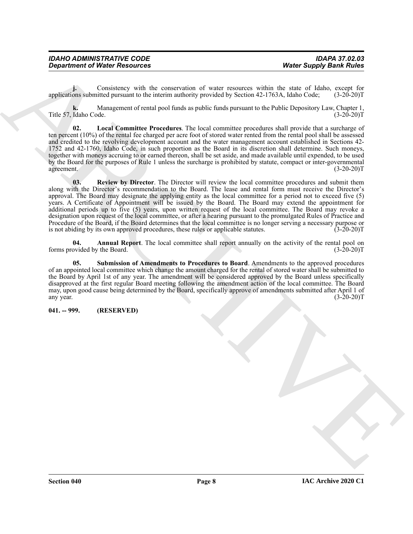| <b>IDAHO ADMINISTRATIVE CODE</b>     | <b>IDAPA 37.02.03</b>          |
|--------------------------------------|--------------------------------|
| <b>Department of Water Resources</b> | <b>Water Supply Bank Rules</b> |

**j.** Consistency with the conservation of water resources within the state of Idaho, except for applications submitted pursuant to the interim authority provided by Section 42-1763A, Idaho Code; (3-20-20)T

**k.** Management of rental pool funds as public funds pursuant to the Public Depository Law, Chapter 1, Title 57, Idaho Code. (3-20-20)T

<span id="page-7-3"></span><span id="page-7-2"></span>**02. Local Committee Procedures**. The local committee procedures shall provide that a surcharge of ten percent (10%) of the rental fee charged per acre foot of stored water rented from the rental pool shall be assessed and credited to the revolving development account and the water management account established in Sections 42- 1752 and 42-1760, Idaho Code, in such proportion as the Board in its discretion shall determine. Such moneys, together with moneys accruing to or earned thereon, shall be set aside, and made available until expended, to be used by the Board for the purposes of Rule 1 unless the surcharge is prohibited by statute, compact or inter-governmental agreement. (3-20-20)T

**Department of Nicity Resolution**<br>
vote Supply Bank Rules<br>
vote Capply Bank Rules<br>
vote Capply Bank Rules<br>
vote Capply Bank Rules<br>
vote Capply Bank Rules<br>
Nature of the Marchive of the Marchive provided by sectom 42-1700, **03. Review by Director**. The Director will review the local committee procedures and submit them along with the Director's recommendation to the Board. The lease and rental form must receive the Director's approval. The Board may designate the applying entity as the local committee for a period not to exceed five (5) years. A Certificate of Appointment will be issued by the Board. The Board may extend the appointment for additional periods up to five (5) years, upon written request of the local committee. The Board may revoke a designation upon request of the local committee, or after a hearing pursuant to the promulgated Rules of Practice and Procedure of the Board, if the Board determines that the local committee is no longer serving a necessary purpose or is not abiding by its own approved procedures, these rules or applicable statutes. (3-20-20) is not abiding by its own approved procedures, these rules or applicable statutes.

<span id="page-7-1"></span>**04. Annual Report**. The local committee shall report annually on the activity of the rental pool on forms provided by the Board. (3-20-20)T

<span id="page-7-4"></span>**05. Submission of Amendments to Procedures to Board**. Amendments to the approved procedures of an appointed local committee which change the amount charged for the rental of stored water shall be submitted to the Board by April 1st of any year. The amendment will be considered approved by the Board unless specifically disapproved at the first regular Board meeting following the amendment action of the local committee. The Board may, upon good cause being determined by the Board, specifically approve of amendments submitted after April 1 of any year.  $(3-20-20)T$ 

#### <span id="page-7-0"></span>**041. -- 999. (RESERVED)**